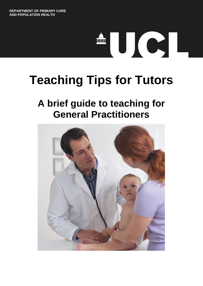# TUCT.

# **Teaching Tips for Tutors**

# **A brief guide to teaching for General Practitioners**

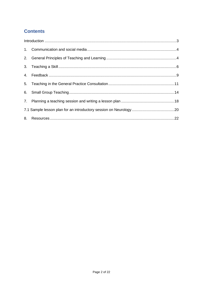# **Contents**

| $\label{eq:interoduction} \mbox{Introduction} \,\, \ldots \,\, \ldots \,\, \ldots \,\, \ldots \,\, \ldots \,\, \ldots \,\, \ldots \,\, \ldots \,\, \ldots \,\, \ldots \,\, \ldots \,\, \ldots \,\, \ldots \,\, \ldots \,\, \ldots \,\, \ldots \,\, \ldots \,\, \ldots \,\, \ldots \,\, \ldots \,\, \ldots \,\, \ldots \,\, \ldots \,\, \ldots \,\, \ldots \,\, \ldots \,\, \ldots \,\, \ldots \,\, \ldots \,\, \ldots \,\, \ldots \,\, \ldots \,\, \ldots \,\, \ldots \$ |  |  |  |  |
|--------------------------------------------------------------------------------------------------------------------------------------------------------------------------------------------------------------------------------------------------------------------------------------------------------------------------------------------------------------------------------------------------------------------------------------------------------------------------|--|--|--|--|
|                                                                                                                                                                                                                                                                                                                                                                                                                                                                          |  |  |  |  |
|                                                                                                                                                                                                                                                                                                                                                                                                                                                                          |  |  |  |  |
|                                                                                                                                                                                                                                                                                                                                                                                                                                                                          |  |  |  |  |
|                                                                                                                                                                                                                                                                                                                                                                                                                                                                          |  |  |  |  |
|                                                                                                                                                                                                                                                                                                                                                                                                                                                                          |  |  |  |  |
|                                                                                                                                                                                                                                                                                                                                                                                                                                                                          |  |  |  |  |
|                                                                                                                                                                                                                                                                                                                                                                                                                                                                          |  |  |  |  |
|                                                                                                                                                                                                                                                                                                                                                                                                                                                                          |  |  |  |  |
|                                                                                                                                                                                                                                                                                                                                                                                                                                                                          |  |  |  |  |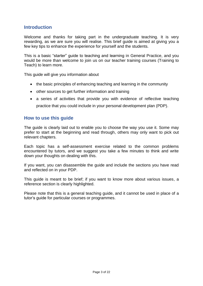# <span id="page-2-0"></span>**Introduction**

Welcome and thanks for taking part in the undergraduate teaching. It is very rewarding, as we are sure you will realise. This brief guide is aimed at giving you a few key tips to enhance the experience for yourself and the students.

This is a basic "starter" guide to teaching and learning in General Practice, and you would be more than welcome to join us on our teacher training courses (Training to Teach) to learn more.

This guide will give you information about

- the basic principles of enhancing teaching and learning in the community
- other sources to get further information and training
- a series of activities that provide you with evidence of reflective teaching practice that you could include in your personal development plan (PDP).

#### **How to use this guide**

The guide is clearly laid out to enable you to choose the way you use it. Some may prefer to start at the beginning and read through, others may only want to pick out relevant chapters.

Each topic has a self-assessment exercise related to the common problems encountered by tutors, and we suggest you take a few minutes to think and write down your thoughts on dealing with this.

If you want, you can disassemble the guide and include the sections you have read and reflected on in your PDP.

This guide is meant to be brief; if you want to know more about various issues, a reference section is clearly highlighted.

Please note that this is a general teaching guide, and it cannot be used in place of a tutor's guide for particular courses or programmes.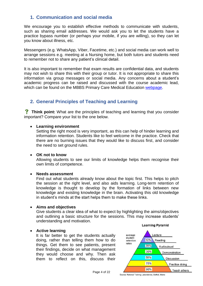# <span id="page-3-0"></span>**1. Communication and social media**

We encourage you to establish effective methods to communicate with students, such as sharing email addresses. We would ask you to let the students have a practice bypass number (or perhaps your mobile, if you are willing), so they can let you know about illness, etc.

Messengers (e.g. WhatsApp, Viber, Facetime, etc.) and social media can work well to arrange sessions e.g. meeting at a Nursing home, but both tutors and students need to remember not to share any patient's clinical detail.

It is also important to remember that exam results are confidential data, and students may not wish to share this with their group or tutor. It is not appropriate to share this information via group messages or social media. Any concerns about a student's academic progress can be raised and discussed with the course academic lead, which can be found on the MBBS Primary Care Medical Education [webpage.](https://www.ucl.ac.uk/iehc/research/primary-care-and-population-health/study/mbbs-pc-med-ed/year6/cancellations)

# <span id="page-3-1"></span>**2. General Principles of Teaching and Learning**

**Think point:** What are the principles of teaching and learning that you consider important? Compare your list to the one below.

#### **Learning environment**

Setting the right mood is very important, as this can help of hinder learning and information retention. Students like to feel welcome in the practice. Check that there are no burning issues that they would like to discuss first, and consider the need to set ground rules.

#### **OK not to know**

Allowing students to see our limits of knowledge helps them recognise their own limits of competence.

#### **Needs assessment**

Find out what students already know about the topic first. This helps to pitch the session at the right level, and also aids learning. Long-term retention of knowledge is thought to develop by the formation of links between new knowledge and existing knowledge in the brain. Activating this old knowledge in student's minds at the start helps them to make these links.

#### **Aims and objectives**

Give students a clear idea of what to expect by highlighting the aims/objectives and outlining a basic structure for the sessions. This may increase students' understanding and motivation. **Learning Pyramid** 

#### **Active learning**

It is far better to get the students actually doing, rather than telling them how to do things. Get them to see patients, present their findings, decide on what management they would choose and why. Then ask them to reflect on this, discuss their



Source: National Training Laboratories, Bethel, Maine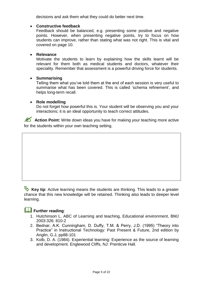decisions and ask them what they could do better next time.

#### **Constructive feedback**

Feedback should be balanced, e.g. presenting some positive and negative points. However, when presenting negative points, try to focus on how students can improve, rather than stating what was not right. This is vital and covered on page 10.

#### **Relevance**

Motivate the students to learn by explaining how the skills learnt will be relevant for them both as medical students and doctors, whatever their speciality. Remember that assessment is a powerful driving force for students.

#### **Summarising**

Telling them what you've told them at the end of each session is very useful to summarise what has been covered. This is called 'schema refinement', and helps long-term recall.

#### **Role modelling**

Do not forget how powerful this is. Your student will be observing you and your interactions; it is an ideal opportunity to teach correct attitudes.

**Action Point:** Write down ideas you have for making your teaching more active for the students within your own teaching setting.

**Key tip**: Active learning means the students are thinking. This leads to a greater chance that this new knowledge will be retained. Thinking also leads to deeper level learning.

# **Further reading:**

- 1. Hutchinson L. ABC of Learning and teaching, Educational environment, BMJ 2003:326: 810-2
- 2. Bednar, A.K. Cunningham, D. Duffy, T.M. & Perry, J.D. (1995) "Theory into Practice" in Instructional Technology: Past Present & Future, 2nd edition by Anglin, G.J, pp88-101
- 3. Kolb, D. A. (1984). Experiential learning: Experience as the source of learning and development. Englewood Cliffs, NJ: Prenticve Hall.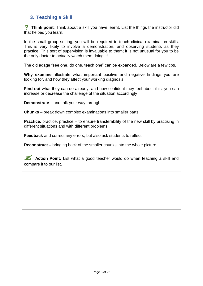# <span id="page-5-0"></span>**3. Teaching a Skill**

**Think point:** Think about a skill you have learnt. List the things the instructor did that helped you learn.

In the small group setting, you will be required to teach clinical examination skills. This is very likely to involve a demonstration, and observing students as they practice. This sort of supervision is invaluable to them; it is not unusual for you to be the only doctor to actually watch them doing it!

The old adage "see one, do one, teach one" can be expanded. Below are a few tips.

**Why examine**: illustrate what important positive and negative findings you are looking for, and how they affect your working diagnosis

**Find out** what they can do already, and how confident they feel about this; you can increase or decrease the challenge of the situation accordingly

**Demonstrate** – and talk your way through it

**Chunks** – break down complex examinations into smaller parts

**Practice**, practice, practice – to ensure transferability of the new skill by practising in different situations and with different problems

**Feedback** and correct any errors, but also ask students to reflect

**Reconstruct –** bringing back of the smaller chunks into the whole picture.

**Action Point:** List what a good teacher would do when teaching a skill and compare it to our list.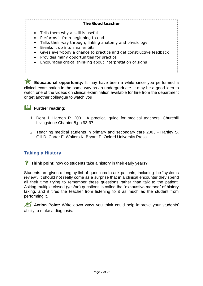#### **The Good teacher**

- Tells them why a skill is useful
- Performs it from beginning to end
- Talks their way through, linking anatomy and physiology
- Breaks it up into smaller bits
- Gives everybody a chance to practice and get constructive feedback
- Provides many opportunities for practice
- Encourages critical thinking about interpretation of signs

**Educational opportunity:** It may have been a while since you performed a clinical examination in the same way as an undergraduate. It may be a good idea to watch one of the videos on clinical examination available for hire from the department or get another colleague to watch you

# **EU** Further reading:

- 1. Dent J. Harden R. 2001. A practical guide for medical teachers. Churchill Livingstone Chapter 8;pp 93-97
- 2. Teaching medical students in primary and secondary care 2003 Hartley S. Gill D. Carter F. Walters K. Bryant P. Oxford University Press

# **Taking a History**

**Think point:** how do students take a history in their early years?

Students are given a lengthy list of questions to ask patients, including the "systems review". It should not really come as a surprise that in a clinical encounter they spend all their time trying to remember these questions rather than talk to the patient. Asking multiple closed (yes/no) questions is called the "exhaustive method" of history taking, and it tires the teacher from listening to it as much as the student from performing it.

Action Point: Write down ways you think could help improve your students' ability to make a diagnosis.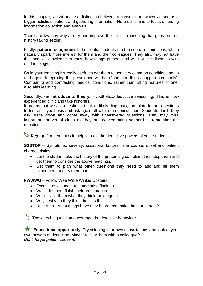In this chapter, we will make a distinction between a consultation, which we see as a bigger holistic situation, and gathering information. Here our aim is to focus on aiding information collection and analysis.

There are two key ways to try and improve the clinical reasoning that goes on in a history taking setting.

Firstly, **pattern recognition**: In hospitals, students tend to see rare conditions, which naturally spark more interest for them and their colleagues. They also may not have the medical knowledge to know how things present and will not link diseases with epidemiology.

So in your teaching it's really useful to get them to see very common conditions again and again. Integrating the prevalence will help "common things happen commonly". Comparing and contrasting medical conditions, rather than listing features of one, also aids learning.

Secondly, we **introduce a theory**: Hypothetico-deductive reasoning. This is how experienced clinicians take histories.

It means that we ask questions, think of likely diagnosis, formulate further questions to test our hypothesis and ask again all within the consultation. Students don't, they ask, write down and come away with unanswered questions. They may miss important non-verbal clues as they are concentrating so hard to remember the questions.

**Key tip**: 2 mnemonics to help you aid the deductive powers of your students

**SSSTOP** – Symptoms, severity, situational factors, time course, onset and patient characteristics.

- Let the student take the history of the presenting compliant then stop them and get them to consider the above headings.
- Get them to plan what other questions they need to ask and let them experiment and try them out

**FWWWU** – Follow Wee Willie Winkie Upstairs

- Focus ask student to summarise findings
- Wait let them finish their presentation
- What ask them what they think the diagnosis is
- $\bullet$  Why why do they think that it is this
- Uncertain what things have they heard that make them uncertain?

 $\sqrt{\ }$  These techniques can encourage the detective behaviour.

**Educational opportunity**: Try videoing your own consultations and look at your own powers of deduction. Maybe review them with a colleague? *Don't forget patient consent!*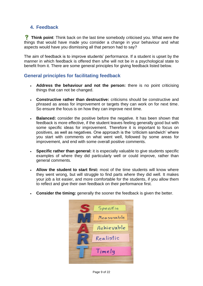# <span id="page-8-0"></span>**4. Feedback**

**Think point:** Think back on the last time somebody criticised you. What were the things that would have made you consider a change in your behaviour and what aspects would have you dismissing all that person had to say?

The aim of feedback is to improve students' performance. If a student is upset by the manner in which feedback is offered then s/he will not be in a psychological state to benefit from it. There are some general principles for giving feedback listed below.

# **General principles for facilitating feedback**

- **Address the behaviour and not the person:** there is no point criticising things that can not be changed.
- **Constructive rather than destructive:** criticisms should be constructive and phrased as areas for improvement or targets they can work on for next time. So ensure the focus is on how they can improve next time.
- **Balanced:** consider the positive before the negative. It has been shown that feedback is more effective, if the student leaves feeling generally good but with some specific ideas for improvement. Therefore it is important to focus on positives, as well as negatives. One approach is the 'criticism sandwich' where you start with comments on what went well, followed by some areas for improvement, and end with some overall positive comments.
- **Specific rather than general:** it is especially valuable to give students specific examples of where they did particularly well or could improve, rather than general comments.
- **Allow the student to start first:** most of the time students will know where they went wrong, but will struggle to find parts where they did well. It makes your job a lot easier, and more comfortable for the students, if you allow them to reflect and give their own feedback on their performance first.
- **Consider the timing:** generally the sooner the feedback is given the better.

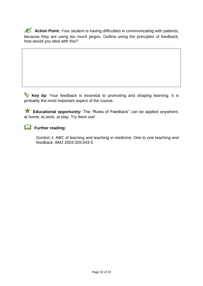**Action Point:** Your student is having difficulties in communicating with patients, because they are using too much jargon. Outline using the principles of feedback, how would you deal with this?

**Key tip**: Your feedback is essential to promoting and shaping learning. It is probably the most important aspect of the course.

 **Educational opportunity:** The "Rules of Feedback" can be applied anywhere, at home, at work, at play. Try them out!

# **Further reading:**

Gordon J. ABC of learning and teaching in medicine: One to one teaching and feedback. BMJ 2003:326;543-5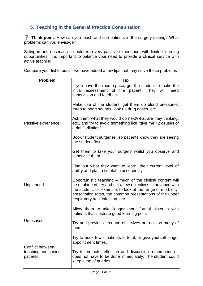# <span id="page-10-0"></span>**5. Teaching in the General Practice Consultation**

**?** Think point: How can you teach and see patients in the surgery setting? What problems can you envisage?

Sitting in and observing a doctor is a very passive experience, with limited learning opportunities. It is important to balance your need to provide a clinical service with active teaching.

Compare your list to ours – we have added a few tips that may solve these problems

| <b>Problem</b>                  | Tip                                                                                                                                                                                                                                                                                        |  |  |  |
|---------------------------------|--------------------------------------------------------------------------------------------------------------------------------------------------------------------------------------------------------------------------------------------------------------------------------------------|--|--|--|
|                                 | If you have the room space, get the student to make the<br>assessment of the patient. They will<br>initial<br>need<br>supervision and feedback.                                                                                                                                            |  |  |  |
|                                 | Make use of the student, get them do blood pressures,<br>listen to heart sounds, look up drug doses, etc.                                                                                                                                                                                  |  |  |  |
| Passive experience              | Ask them what they would do next/what are they thinking,<br>etc., and try to avoid something like "give me 12 causes of<br>atrial fibrillation"                                                                                                                                            |  |  |  |
|                                 | Book "student surgeries" so patients know they are seeing<br>the student first                                                                                                                                                                                                             |  |  |  |
|                                 | Get them to take your surgery whilst you observe and<br>supervise them                                                                                                                                                                                                                     |  |  |  |
|                                 | Find out what they want to learn, their current level of<br>ability and plan a timetable accordingly                                                                                                                                                                                       |  |  |  |
| Unplanned                       | Opportunistic teaching – much of the clinical content will<br>be unplanned, try and set a few objectives in advance with<br>the student, for example, to look at the range of morbidity,<br>prescription rates, the common presentations of the upper<br>respiratory tract infection, etc. |  |  |  |
|                                 | Allow them to take longer more formal histories with<br>patients that illustrate good learning point                                                                                                                                                                                       |  |  |  |
| Unfocused                       | Try and provide aims and objectives but not too many of<br>them                                                                                                                                                                                                                            |  |  |  |
| Conflict between                | Try to book fewer patients in total, or give yourself longer<br>appointment times.                                                                                                                                                                                                         |  |  |  |
| teaching and seeing<br>patients | Try to promote reflection and discussion remembering it<br>does not have to be done immediately. The student could<br>keep a log of queries.                                                                                                                                               |  |  |  |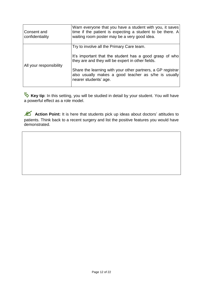| Consent and<br>confidentiality | Warn everyone that you have a student with you, it saves<br>time if the patient is expecting a student to be there. A<br>waiting room poster may be a very good idea. |  |  |  |
|--------------------------------|-----------------------------------------------------------------------------------------------------------------------------------------------------------------------|--|--|--|
|                                | Try to involve all the Primary Care team.                                                                                                                             |  |  |  |
| All your responsibility        | It's important that the student has a good grasp of who<br>they are and they will be expert in other fields.                                                          |  |  |  |
|                                | Share the learning with your other partners, a GP registrar<br>also usually makes a good teacher as s/he is usually<br>nearer students' age.                          |  |  |  |
|                                |                                                                                                                                                                       |  |  |  |

**Key tip**: In this setting, you will be studied in detail by your student. You will have a powerful effect as a role model.

**Action Point:** It is here that students pick up ideas about doctors' attitudes to patients. Think back to a recent surgery and list the positive features you would have demonstrated.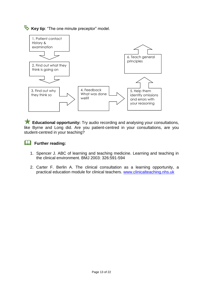**Key tip**: "The one minute preceptor" model.



 **Educational opportunity:** Try audio recording and analysing your consultations, like Byrne and Long did. Are you patient-centred in your consultations, are you student-centred in your teaching?

# **Further reading:**

- 1. Spencer J. ABC of learning and teaching medicine. Learning and teaching in the clinical environment. BMJ 2003: 326:591-594
- 2. Carter F. Berlin A. The clinical consultation as a learning opportunity, a practical education module for clinical teachers. [www.clinicalteaching.nhs.uk](http://www.clinicalteaching.nhs.uk/)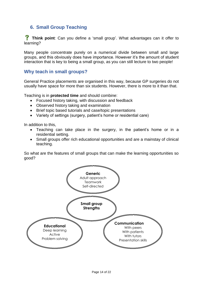# <span id="page-13-0"></span>**6. Small Group Teaching**

 **Think point**: Can you define a 'small group'. What advantages can it offer to learning?

Many people concentrate purely on a numerical divide between small and large groups, and this obviously does have importance. However it's the amount of student interaction that is key to being a small group, as you can still lecture to two people!

#### **Why teach in small groups?**

General Practice placements are organised in this way, because GP surgeries do not usually have space for more than six students. However, there is more to it than that.

Teaching is in **protected time** and should combine:

- Focused history taking, with discussion and feedback
- Observed history taking and examination
- Brief topic based tutorials and case/topic presentations
- Variety of settings (surgery, patient's home or residential care)

In addition to this,

- Teaching can take place in the surgery, in the patient's home or in a residential setting.
- Small groups offer rich educational opportunities and are a mainstay of clinical teaching.

So what are the features of small groups that can make the learning opportunities so good?

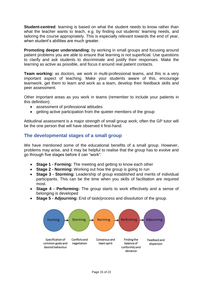**Student-centred**: learning is based on what the student needs to know rather than what the teacher wants to teach, e.g. by finding out students' learning needs, and tailoring the course appropriately. This is especially relevant towards the end of year, when student's abilities are much greater.

**Promoting deeper understanding:** by working in small groups and focusing around patient problems you are able to ensure that learning is not superficial. Use questions to clarify and ask students to discriminate and justify their responses. Make the learning as active as possible, and focus it around real patient contacts.

**Team working:** as doctors, we work in multi-professional teams, and this is a very important aspect of teaching. Make your students aware of this, encourage teamwork, get them to learn and work as a team, develop their feedback skills and peer assessment.

Other important areas as you work in teams (remember to include your patients in this definition):

- assessment of professional attitudes
- getting active participation from the quieter members of the group

Attitudinal assessment is a major strength of small group work; often the GP tutor will be the one person that will have observed it first-hand.

# **The developmental stages of a small group**

We have mentioned some of the educational benefits of a small group. However, problems may arise, and it may be helpful to realise that the group has to evolve and go through five stages before it can "work":

- **Stage 1 - Forming:** The meeting and getting to know each other
- **Stage 2 - Norming:** Working out how the group is going to run
- **Stage 3 - Storming:** Leadership of group established and merits of individual participants. This can be the time when you skills of facilitation are required most.
- **Stage 4 - Performing:** The group starts to work effectively and a sense of belonging is developed
- **Stage 5 - Adjourning:** End of task/process and dissolution of the group.

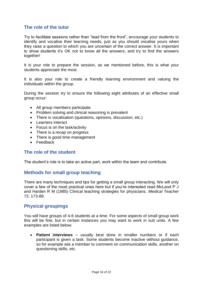# **The role of the tutor**

Try to facilitate sessions rather than "lead from the front", encourage your students to identify and vocalise their learning needs, just as you should vocalise yours when they raise a question to which you are uncertain of the correct answer. It is important to show students it's OK not to know all the answers, and try to find the answers together!

It is your role to prepare the session, as we mentioned before, this is what your students appreciate the most.

It is also your role to create a friendly learning environment and valuing the individuals within the group.

During the session try to ensure the following eight attributes of an effective small group occur:

- All group members participate
- Problem solving and clinical reasoning is prevalent
- There is vocalisation (questions, opinions, discussion, etc.)
- Learners interact
- Focus is on the task/activity
- There is a recap on progress
- There is good time management
- Feedback

#### **The role of the student**

The student's role is to take an active part, work within the team and contribute.

#### **Methods for small group teaching**

There are many techniques and tips for getting a small group interacting. We will only cover a few of the most practical ones here but if you're interested read McLeod P J and Harden R M (1985) Clinical teaching strategies for physicians. *Medical Teacher* 72: 173-89.

#### **Physical groupings**

You will have groups of 4-6 students at a time. For some aspects of small group work this will be fine, but in certain instances you may want to work in sub units. A few examples are listed below:

 **Patient interviews** – usually best done in smaller numbers or if each participant is given a task. Some students become inactive without guidance, so for example ask a member to comment on communication skills, another on questioning skills, etc.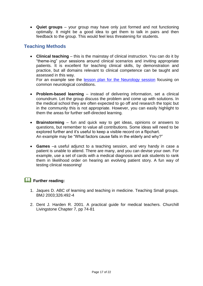**Quiet groups** – your group may have only just formed and not functioning optimally. It might be a good idea to get them to talk in pairs and then feedback to the group. This would feel less threatening for students.

# **Teaching Methods**

 **Clinical teaching** – this is the mainstay of clinical instruction. You can do it by "theme-ing" your sessions around clinical scenarios and inviting appropriate patients. It is excellent for teaching clinical skills, by demonstration and practice, but all domains relevant to clinical competence can be taught and assessed in this way.

For an example see the **[lesson plan for the Neurology session](#page-19-0)** focusing on common neurological conditions.

- **Problem-based learning** instead of delivering information, set a clinical conundrum. Let the group discuss the problem and come up with solutions. In the medical school they are often expected to go off and research the topic but in the community this is not appropriate. However, you can easily highlight to them the areas for further self-directed learning.
- **Brainstorming** fun and quick way to get ideas, opinions or answers to questions, but remember to value all contributions. Some ideas will need to be explored further and it's useful to keep a visible record on a flipchart. An example may be "What factors cause falls in the elderly and why?"
- **Games** –a useful adjunct to a teaching session, and very handy in case a patient is unable to attend. There are many, and you can devise your own. For example, use a set of cards with a medical diagnosis and ask students to rank them in likelihood order on hearing an evolving patient story. A fun way of testing clinical reasoning!

# **Further reading:**

- 1. Jaques D. ABC of learning and teaching in medicine. Teaching Small groups. BMJ 2003;326:492-4
- 2. Dent J. Harden R. 2001. A practical guide for medical teachers. Churchill Livingstone Chapter 7, pp 74-81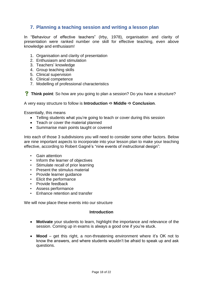# <span id="page-17-0"></span>**7. Planning a teaching session and writing a lesson plan**

In "Behaviour of effective teachers" (Irby, 1978), organisation and clarity of presentation were ranked number one skill for effective teaching, even above knowledge and enthusiasm!

- 1. Organisation and clarity of presentation
- 2. Enthusiasm and stimulation
- 3. Teachers' knowledge
- 4. Group teaching skills
- 5. Clinical supervision
- 6. Clinical competence
- 7. Modelling of professional characteristics

**Think point:** So how are you going to plan a session? Do you have a structure?

A very easy structure to follow is **Introduction**  $\Rightarrow$  **Middle**  $\Rightarrow$  **Conclusion**.

Essentially, this means

- Telling students what you're going to teach or cover during this session
- Teach or cover the material planned
- Summarise main points taught or covered

Into each of those 3 subdivisions you will need to consider some other factors. Below are nine important aspects to incorporate into your lesson plan to make your teaching effective, according to Robert Gagné's "nine events of instructional design":

- Gain attention
- Inform the learner of objectives
- Stimulate recall of prior learning
- Present the stimulus material
- Provide learner guidance
- Elicit the performance
- Provide feedback
- Assess performance
- Enhance retention and transfer

We will now place these events into our structure

#### **Introduction**

- **Motivate** your students to learn, highlight the importance and relevance of the session. Coming up in exams is always a good one if you're stuck.
- **Mood** get this right, a non-threatening environment where it's OK not to know the answers, and where students wouldn't be afraid to speak up and ask questions.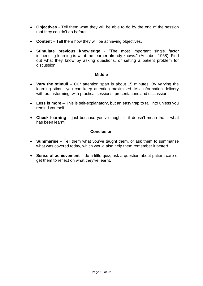- **Objectives**  Tell them what they will be able to do by the end of the session that they couldn't do before.
- **Content** Tell them how they will be achieving objectives.
- **Stimulate previous knowledge**  "The most important single factor influencing learning is what the learner already knows." (Ausubel, 1968). Find out what they know by asking questions, or setting a patient problem for discussion.

#### **Middle**

- **Vary the stimuli**  Our attention span is about 15 minutes. By varying the learning stimuli you can keep attention maximised. Mix information delivery with brainstorming, with practical sessions, presentations and discussion.
- **Less is more** This is self-explanatory, but an easy trap to fall into unless you remind yourself!
- **Check learning** just because you've taught it, it doesn't mean that's what has been learnt.

#### **Conclusion**

- **Summarise** Tell them what you've taught them, or ask them to summarise what was covered today, which would also help them remember it better!
- **Sense of achievement** do a little quiz, ask a question about patient care or get them to reflect on what they've learnt.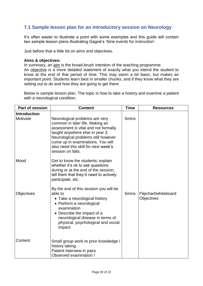# <span id="page-19-0"></span>**7.1 Sample lesson plan for an introductory session on Neurology**

It's often easier to illustrate a point with some examples and this guide will contain two sample lesson plans illustrating Gagné's 'Nine events for instruction'.

Just before that a little bit on aims and objectives.

#### **Aims & objectives:**

In summary, an aim is the broad-brush intention of the teaching programme. An objective is a more detailed statement of exactly what you intend the student to know at the end of that period of time. This may seem a bit basic, but makes an important point. Students learn best in smaller chunks, and if they know what they are setting out to do and how they are going to get there.

Below is sample lesson plan. The topic is how to take a history and examine a patient with a neurological condition.

| <b>Part of session</b>          | <b>Content</b>                                                                                                                                                                                                                                                                        | <b>Time</b> | <b>Resources</b>                          |
|---------------------------------|---------------------------------------------------------------------------------------------------------------------------------------------------------------------------------------------------------------------------------------------------------------------------------------|-------------|-------------------------------------------|
| <b>Introduction</b><br>Motivate | Neurological problems are very<br>common in later life. Making an<br>assessment is vital and not formally<br>taught anywhere else in year 3.<br>Neurological problems still however<br>come up in examinations. You will<br>also need this skill for next week's<br>session on falls. | 5mins       |                                           |
| Mood                            | Get to know the students; explain<br>whether it's ok to ask questions<br>during or at the end of the session;<br>tell them that they'd need to actively<br>participate, etc.                                                                                                          |             |                                           |
| <b>Objectives</b>               | By the end of this session you will be<br>able to<br>• Take a neurological history<br>• Perform a neurological<br>examination<br>• Describe the impact of a<br>neurological disease in terms of<br>physical, psychological and social<br>impact                                       | 5mins       | Flipchart/whiteboard<br><b>Objectives</b> |
| Content                         | Small group work re prior knowledge /<br>history taking.<br>Patient interview in pairs<br>Observed examination /                                                                                                                                                                      |             |                                           |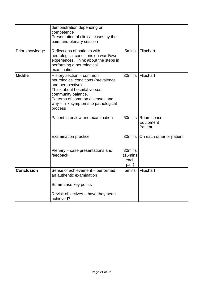|                   | demonstration depending on<br>competence<br>Presentation of clinical cases by the<br>pairs and plenary session                                                                                                                 |                                                 |                                     |
|-------------------|--------------------------------------------------------------------------------------------------------------------------------------------------------------------------------------------------------------------------------|-------------------------------------------------|-------------------------------------|
| Prior knowledge   | Reflections of patients with<br>neurological conditions on ward/own<br>experiences. Think about the steps in<br>performing a neurological<br>examination                                                                       | 5mins                                           | Flipchart                           |
| <b>Middle</b>     | History section - common<br>neurological conditions (prevalence<br>and perspective).<br>Think about hospital versus<br>community balance.<br>Patterns of common diseases and<br>why - link symptoms to pathological<br>process |                                                 | 30mins   Flipchart                  |
|                   | Patient interview and examination                                                                                                                                                                                              | 60mins                                          | Room space.<br>Equipment<br>Patient |
|                   | <b>Examination practice</b>                                                                                                                                                                                                    | 30mins                                          | On each other or patient            |
|                   | Plenary – case presentations and<br>feedback                                                                                                                                                                                   | 30mins<br>(15 <sub>min</sub> )<br>each<br>pair) |                                     |
| <b>Conclusion</b> | Sense of achievement - performed<br>an authentic examination                                                                                                                                                                   | 5mins                                           | Flipchart                           |
|                   | Summarise key points                                                                                                                                                                                                           |                                                 |                                     |
|                   | Revisit objectives – have they been<br>achieved?                                                                                                                                                                               |                                                 |                                     |